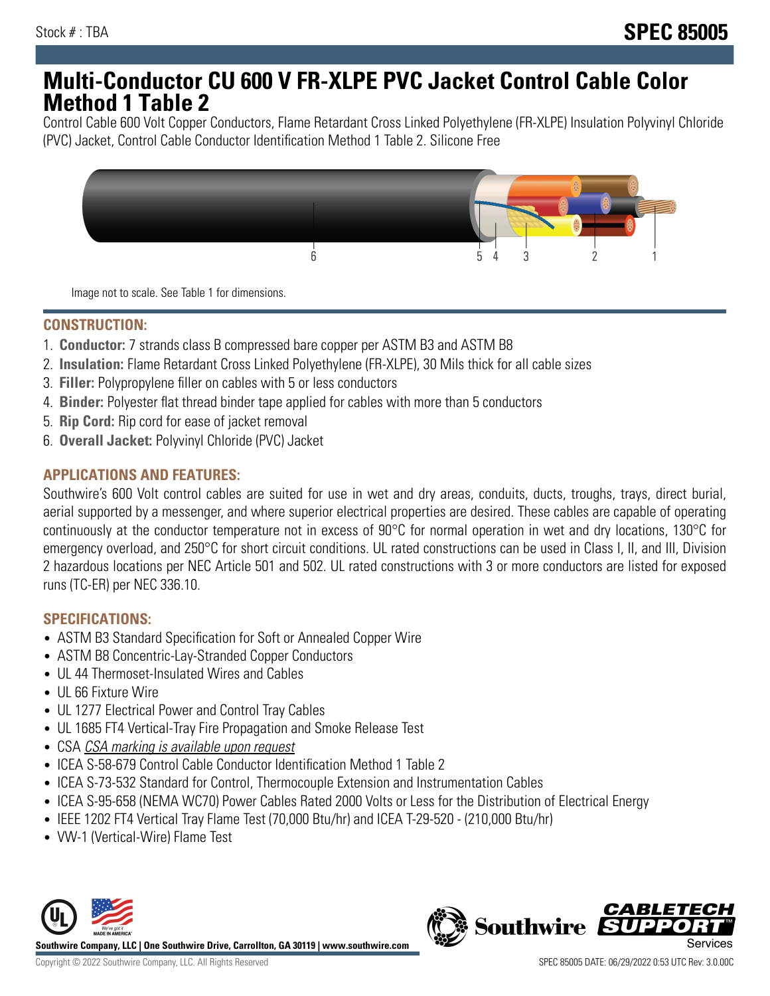## **Multi-Conductor CU 600 V FR-XLPE PVC Jacket Control Cable Color Method 1 Table 2**

Control Cable 600 Volt Copper Conductors, Flame Retardant Cross Linked Polyethylene (FR-XLPE) Insulation Polyvinyl Chloride (PVC) Jacket, Control Cable Conductor Identification Method 1 Table 2. Silicone Free



Image not to scale. See Table 1 for dimensions.

## **CONSTRUCTION:**

- 1. **Conductor:** 7 strands class B compressed bare copper per ASTM B3 and ASTM B8
- 2. **Insulation:** Flame Retardant Cross Linked Polyethylene (FR-XLPE), 30 Mils thick for all cable sizes
- 3. **Filler:** Polypropylene filler on cables with 5 or less conductors
- 4. **Binder:** Polyester flat thread binder tape applied for cables with more than 5 conductors
- 5. **Rip Cord:** Rip cord for ease of jacket removal
- 6. **Overall Jacket:** Polyvinyl Chloride (PVC) Jacket

#### **APPLICATIONS AND FEATURES:**

Southwire's 600 Volt control cables are suited for use in wet and dry areas, conduits, ducts, troughs, trays, direct burial, aerial supported by a messenger, and where superior electrical properties are desired. These cables are capable of operating continuously at the conductor temperature not in excess of 90°C for normal operation in wet and dry locations, 130°C for emergency overload, and 250°C for short circuit conditions. UL rated constructions can be used in Class I, II, and III, Division 2 hazardous locations per NEC Article 501 and 502. UL rated constructions with 3 or more conductors are listed for exposed runs (TC-ER) per NEC 336.10.

#### **SPECIFICATIONS:**

- ASTM B3 Standard Specification for Soft or Annealed Copper Wire
- ASTM B8 Concentric-Lay-Stranded Copper Conductors
- UL 44 Thermoset-Insulated Wires and Cables
- UL 66 Fixture Wire
- UL 1277 Electrical Power and Control Tray Cables
- UL 1685 FT4 Vertical-Tray Fire Propagation and Smoke Release Test
- CSA CSA marking is available upon request
- ICEA S-58-679 Control Cable Conductor Identification Method 1 Table 2
- ICEA S-73-532 Standard for Control, Thermocouple Extension and Instrumentation Cables
- ICEA S-95-658 (NEMA WC70) Power Cables Rated 2000 Volts or Less for the Distribution of Electrical Energy
- IEEE 1202 FT4 Vertical Tray Flame Test (70,000 Btu/hr) and ICEA T-29-520 (210,000 Btu/hr)
- VW-1 (Vertical-Wire) Flame Test



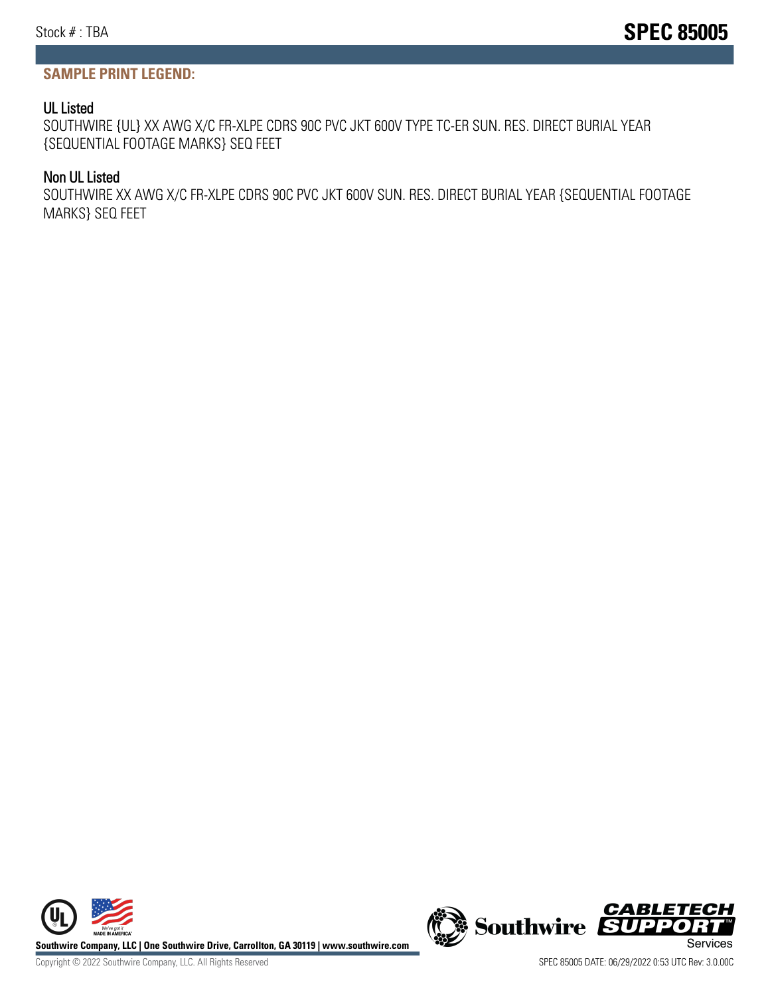#### **SAMPLE PRINT LEGEND:**

#### UL Listed

SOUTHWIRE {UL} XX AWG X/C FR-XLPE CDRS 90C PVC JKT 600V TYPE TC-ER SUN. RES. DIRECT BURIAL YEAR {SEQUENTIAL FOOTAGE MARKS} SEQ FEET

#### Non UL Listed

SOUTHWIRE XX AWG X/C FR-XLPE CDRS 90C PVC JKT 600V SUN. RES. DIRECT BURIAL YEAR {SEQUENTIAL FOOTAGE MARKS} SEQ FEET